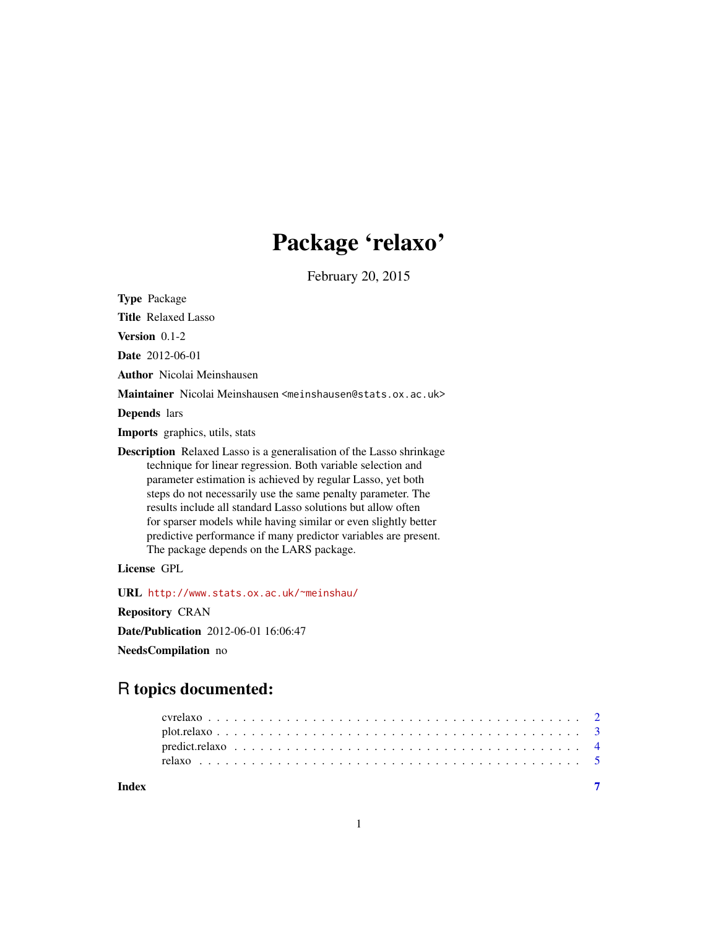## Package 'relaxo'

February 20, 2015

Type Package Title Relaxed Lasso Version 0.1-2 Date 2012-06-01 Author Nicolai Meinshausen Maintainer Nicolai Meinshausen <meinshausen@stats.ox.ac.uk> Depends lars Imports graphics, utils, stats Description Relaxed Lasso is a generalisation of the Lasso shrinkage technique for linear regression. Both variable selection and parameter estimation is achieved by regular Lasso, yet both steps do not necessarily use the same penalty parameter. The results include all standard Lasso solutions but allow often for sparser models while having similar or even slightly better predictive performance if many predictor variables are present. The package depends on the LARS package. License GPL URL <http://www.stats.ox.ac.uk/~meinshau/> Repository CRAN Date/Publication 2012-06-01 16:06:47 NeedsCompilation no

### R topics documented:

| Index |  |  |  |  |  |  |  |  |  |  |  |  |  |  |  |  |  |  |  |
|-------|--|--|--|--|--|--|--|--|--|--|--|--|--|--|--|--|--|--|--|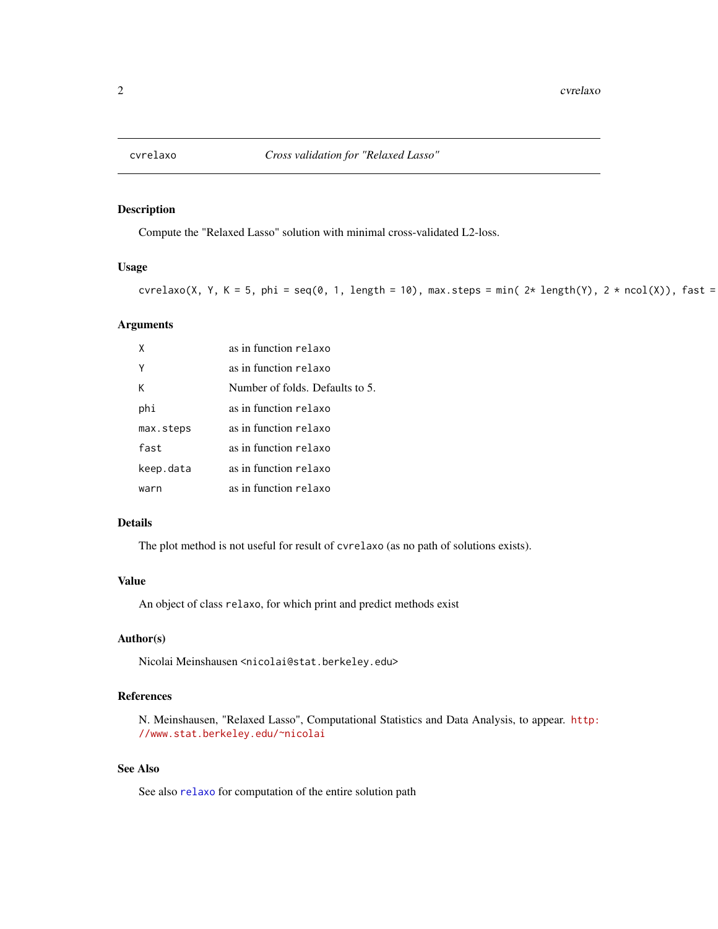<span id="page-1-1"></span><span id="page-1-0"></span>

#### Description

Compute the "Relaxed Lasso" solution with minimal cross-validated L2-loss.

#### Usage

cvrelaxo(X, Y, K = 5, phi = seq(0, 1, length = 10), max.steps = min(  $2*$  length(Y),  $2*$  ncol(X)), fast =

#### Arguments

| X         | as in function relaxo           |
|-----------|---------------------------------|
|           | as in function relaxo           |
| к         | Number of folds. Defaults to 5. |
| phi       | as in function relaxo           |
| max.steps | as in function relaxo           |
| fast      | as in function relaxo           |
| keep.data | as in function relaxo           |
| warn      | as in function relaxo           |

#### Details

The plot method is not useful for result of cvrelaxo (as no path of solutions exists).

#### Value

An object of class relaxo, for which print and predict methods exist

#### Author(s)

Nicolai Meinshausen <nicolai@stat.berkeley.edu>

#### References

N. Meinshausen, "Relaxed Lasso", Computational Statistics and Data Analysis, to appear. [http:](http://www.stat.berkeley.edu/~nicolai) [//www.stat.berkeley.edu/~nicolai](http://www.stat.berkeley.edu/~nicolai)

#### See Also

See also [relaxo](#page-4-1) for computation of the entire solution path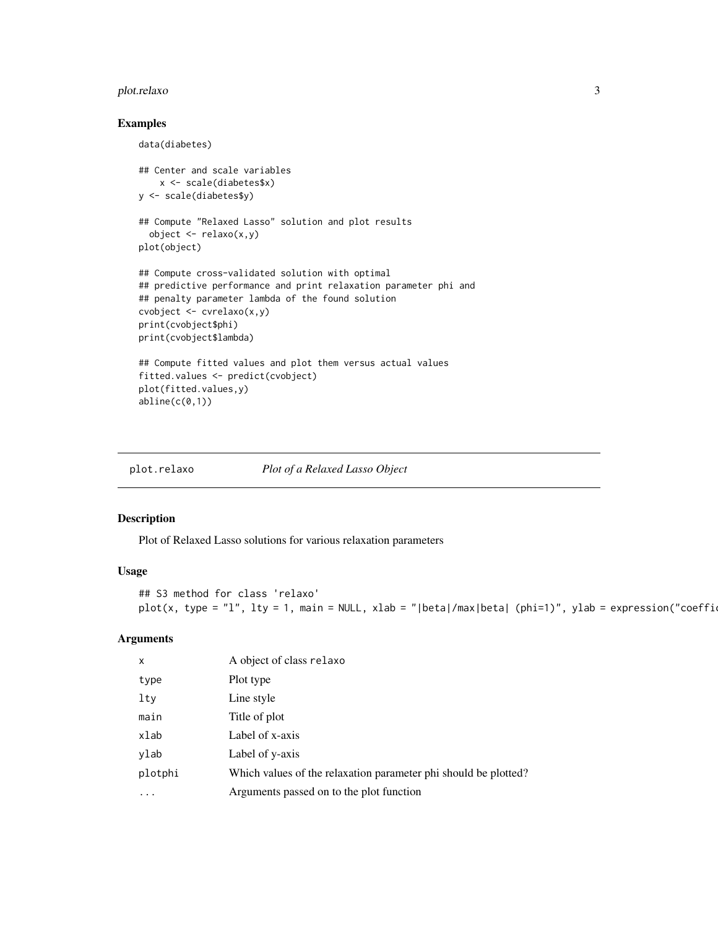#### <span id="page-2-0"></span>plot.relaxo 3

#### Examples

```
data(diabetes)
## Center and scale variables
   x <- scale(diabetes$x)
y <- scale(diabetes$y)
## Compute "Relaxed Lasso" solution and plot results
  object <- relaxo(x,y)
plot(object)
## Compute cross-validated solution with optimal
## predictive performance and print relaxation parameter phi and
## penalty parameter lambda of the found solution
cvobject <- cvrelaxo(x,y)
print(cvobject$phi)
print(cvobject$lambda)
## Compute fitted values and plot them versus actual values
fitted.values <- predict(cvobject)
plot(fitted.values,y)
abline(c(0,1))
```
plot.relaxo *Plot of a Relaxed Lasso Object*

#### Description

Plot of Relaxed Lasso solutions for various relaxation parameters

#### Usage

```
## S3 method for class 'relaxo'
plot(x, type = "l", lty = 1, main = NULL, xlab = "|beta|/max|beta| (phi=1)", ylab = expression("coeffi-
```
#### Arguments

| $\mathsf{x}$ | A object of class relaxo                                        |
|--------------|-----------------------------------------------------------------|
| type         | Plot type                                                       |
| $1$ ty       | Line style                                                      |
| main         | Title of plot                                                   |
| xlab         | Label of x-axis                                                 |
| ylab         | Label of y-axis                                                 |
| plotphi      | Which values of the relaxation parameter phi should be plotted? |
| $\cdots$     | Arguments passed on to the plot function                        |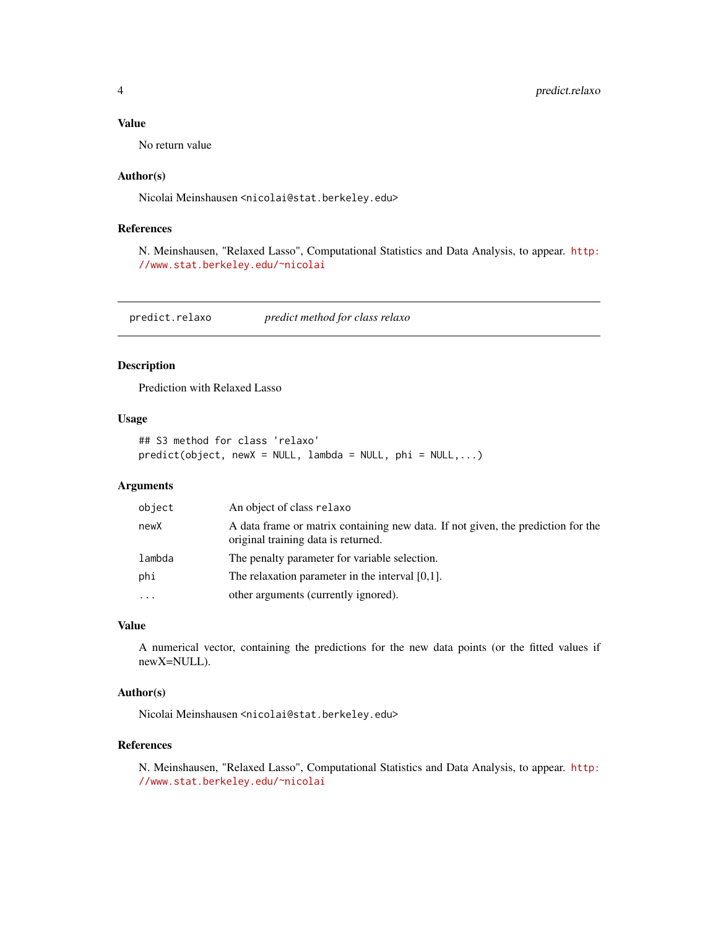#### <span id="page-3-0"></span>Value

No return value

#### Author(s)

Nicolai Meinshausen <nicolai@stat.berkeley.edu>

#### References

N. Meinshausen, "Relaxed Lasso", Computational Statistics and Data Analysis, to appear. [http:](http://www.stat.berkeley.edu/~nicolai) [//www.stat.berkeley.edu/~nicolai](http://www.stat.berkeley.edu/~nicolai)

predict.relaxo *predict method for class relaxo*

#### Description

Prediction with Relaxed Lasso

#### Usage

```
## S3 method for class 'relaxo'
predict(object, newX = NULL, lambda = NULL, phi = NULL, ...)
```
#### Arguments

| object   | An object of class relaxo                                                                                               |
|----------|-------------------------------------------------------------------------------------------------------------------------|
| newX     | A data frame or matrix containing new data. If not given, the prediction for the<br>original training data is returned. |
| lambda   | The penalty parameter for variable selection.                                                                           |
| phi      | The relaxation parameter in the interval $[0,1]$ .                                                                      |
| $\cdots$ | other arguments (currently ignored).                                                                                    |

#### Value

A numerical vector, containing the predictions for the new data points (or the fitted values if newX=NULL).

#### Author(s)

Nicolai Meinshausen <nicolai@stat.berkeley.edu>

#### References

N. Meinshausen, "Relaxed Lasso", Computational Statistics and Data Analysis, to appear. [http:](http://www.stat.berkeley.edu/~nicolai) [//www.stat.berkeley.edu/~nicolai](http://www.stat.berkeley.edu/~nicolai)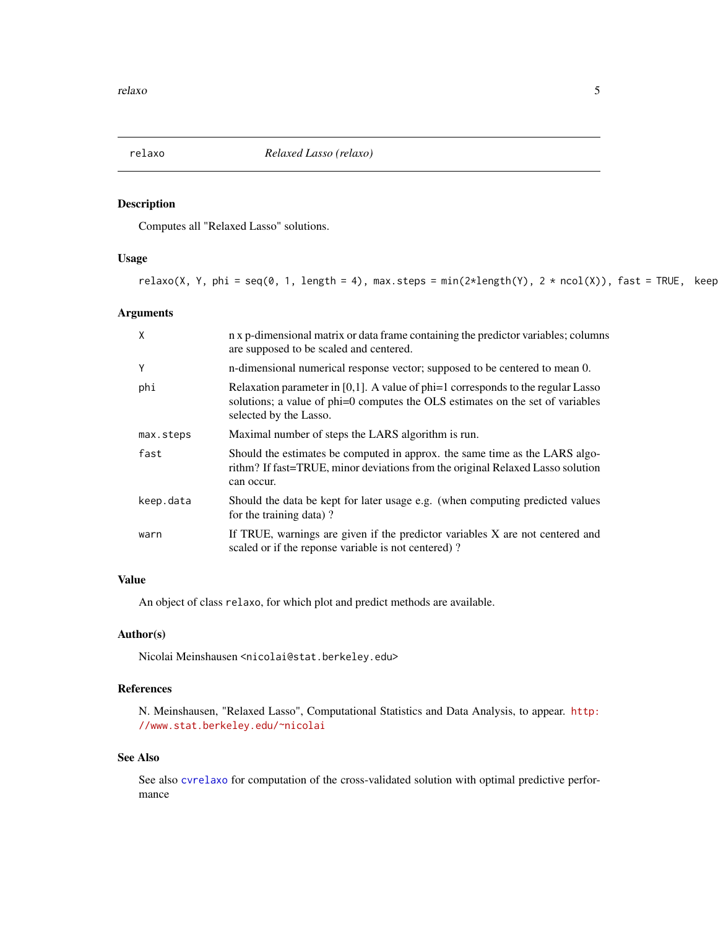<span id="page-4-1"></span><span id="page-4-0"></span>

#### Description

Computes all "Relaxed Lasso" solutions.

#### Usage

```
relaxo(X, Y, phi = seq(0, 1, length = 4), max.steps = min(2*length(Y), 2 * ncol(X)), fast = TRUE, keep
```
#### Arguments

| X         | n x p-dimensional matrix or data frame containing the predictor variables; columns<br>are supposed to be scaled and centered.                                                                  |
|-----------|------------------------------------------------------------------------------------------------------------------------------------------------------------------------------------------------|
| Y         | n-dimensional numerical response vector; supposed to be centered to mean 0.                                                                                                                    |
| phi       | Relaxation parameter in [0,1]. A value of $phi=1$ corresponds to the regular Lasso<br>solutions; a value of phi=0 computes the OLS estimates on the set of variables<br>selected by the Lasso. |
| max.steps | Maximal number of steps the LARS algorithm is run.                                                                                                                                             |
| fast      | Should the estimates be computed in approx. the same time as the LARS algo-<br>rithm? If fast=TRUE, minor deviations from the original Relaxed Lasso solution<br>can occur.                    |
| keep.data | Should the data be kept for later usage e.g. (when computing predicted values<br>for the training data)?                                                                                       |
| warn      | If TRUE, warnings are given if the predictor variables X are not centered and<br>scaled or if the reponse variable is not centered)?                                                           |

#### Value

An object of class relaxo, for which plot and predict methods are available.

#### Author(s)

Nicolai Meinshausen <nicolai@stat.berkeley.edu>

#### References

N. Meinshausen, "Relaxed Lasso", Computational Statistics and Data Analysis, to appear. [http:](http://www.stat.berkeley.edu/~nicolai) [//www.stat.berkeley.edu/~nicolai](http://www.stat.berkeley.edu/~nicolai)

#### See Also

See also [cvrelaxo](#page-1-1) for computation of the cross-validated solution with optimal predictive performance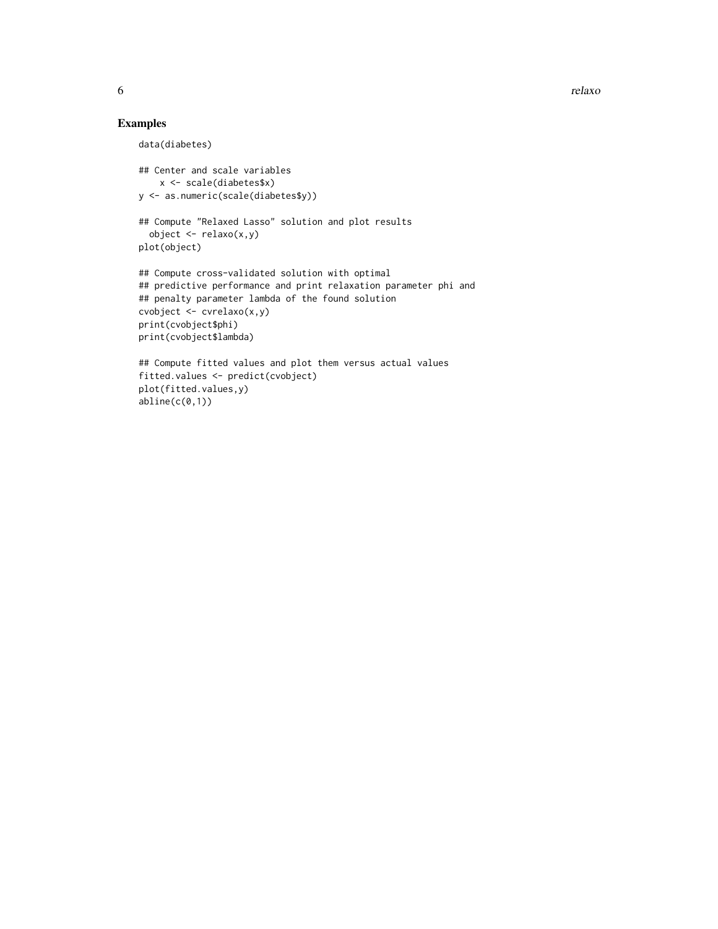6 relaxo estableceu a contra a contra a contra a contra a contra a contra a contra a contra a contra a contra d

#### Examples

plot(fitted.values,y)  $abline(c(0,1))$ 

```
data(diabetes)
## Center and scale variables
   x <- scale(diabetes$x)
y <- as.numeric(scale(diabetes$y))
## Compute "Relaxed Lasso" solution and plot results
 object \leftarrow relaxo(x,y)plot(object)
## Compute cross-validated solution with optimal
## predictive performance and print relaxation parameter phi and
## penalty parameter lambda of the found solution
cvobject <- cvrelaxo(x,y)
print(cvobject$phi)
print(cvobject$lambda)
## Compute fitted values and plot them versus actual values
fitted.values <- predict(cvobject)
```